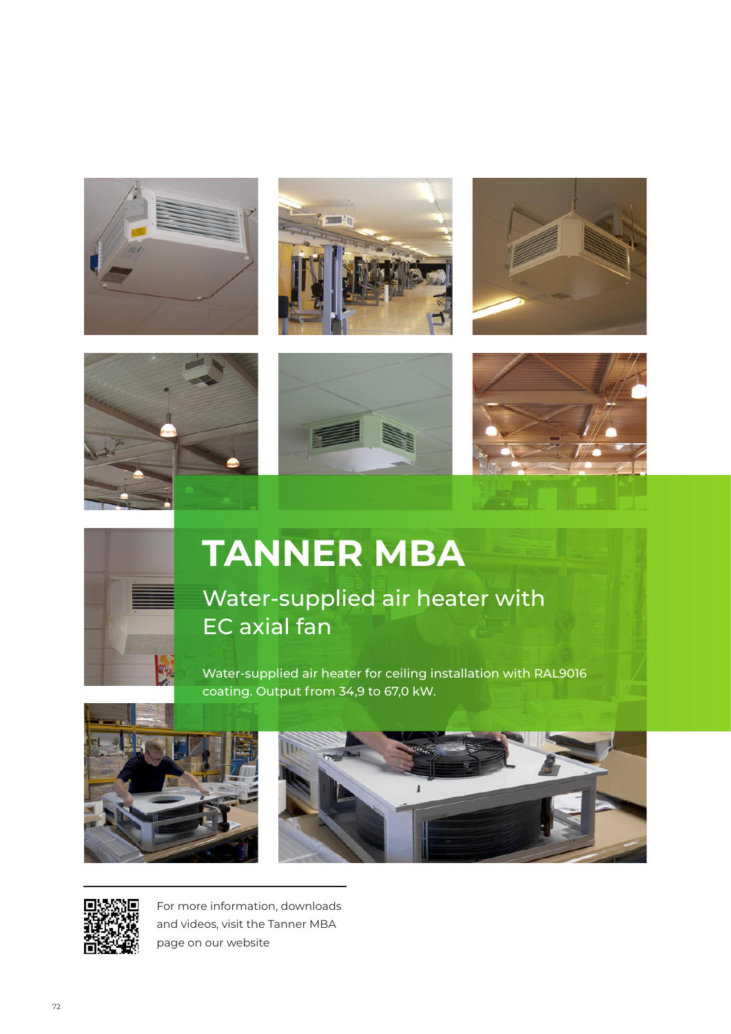













# **TANNER MBA**

Water-supplied air heater with EC axial fan

Water-supplied air heater for ceiling installation with RAL9016 coating. Output from 34,9 to 67,0 kW.







For more information, downloads and videos, visit the Tanner MBA page on our website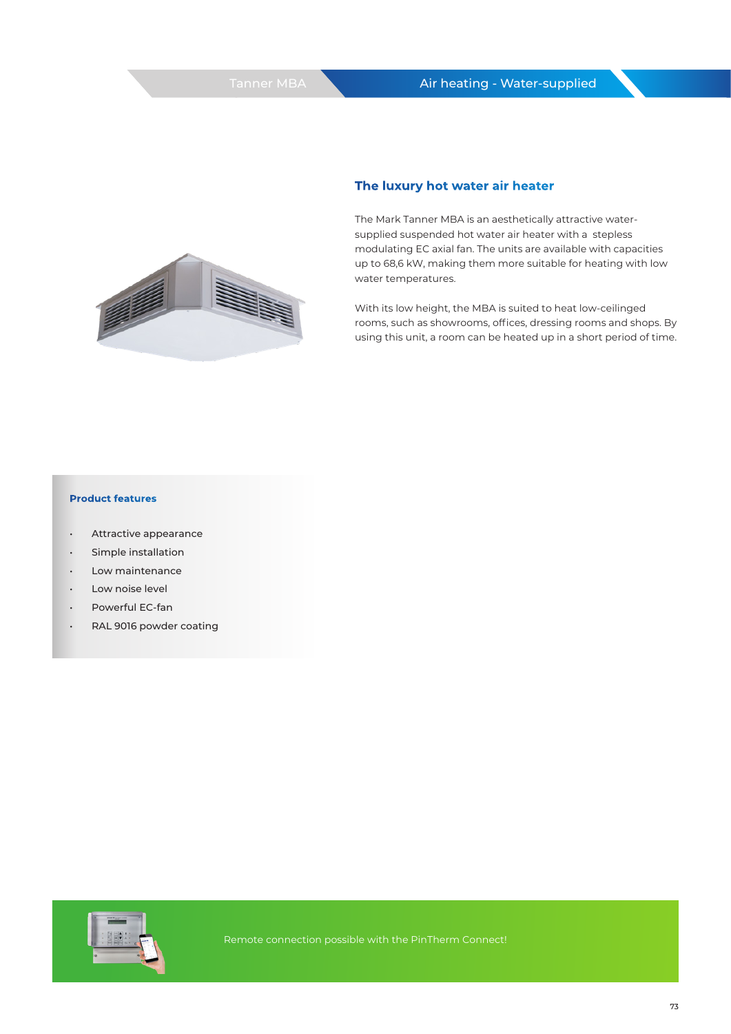

### **The luxury hot water air heater**

The Mark Tanner MBA is an aesthetically attractive watersupplied suspended hot water air heater with a stepless modulating EC axial fan. The units are available with capacities up to 68,6 kW, making them more suitable for heating with low water temperatures.

With its low height, the MBA is suited to heat low-ceilinged rooms, such as showrooms, offices, dressing rooms and shops. By using this unit, a room can be heated up in a short period of time.

#### **Product features**

- Attractive appearance
- Simple installation
- Low maintenance
- Low noise level
- Powerful EC-fan
- RAL 9016 powder coating

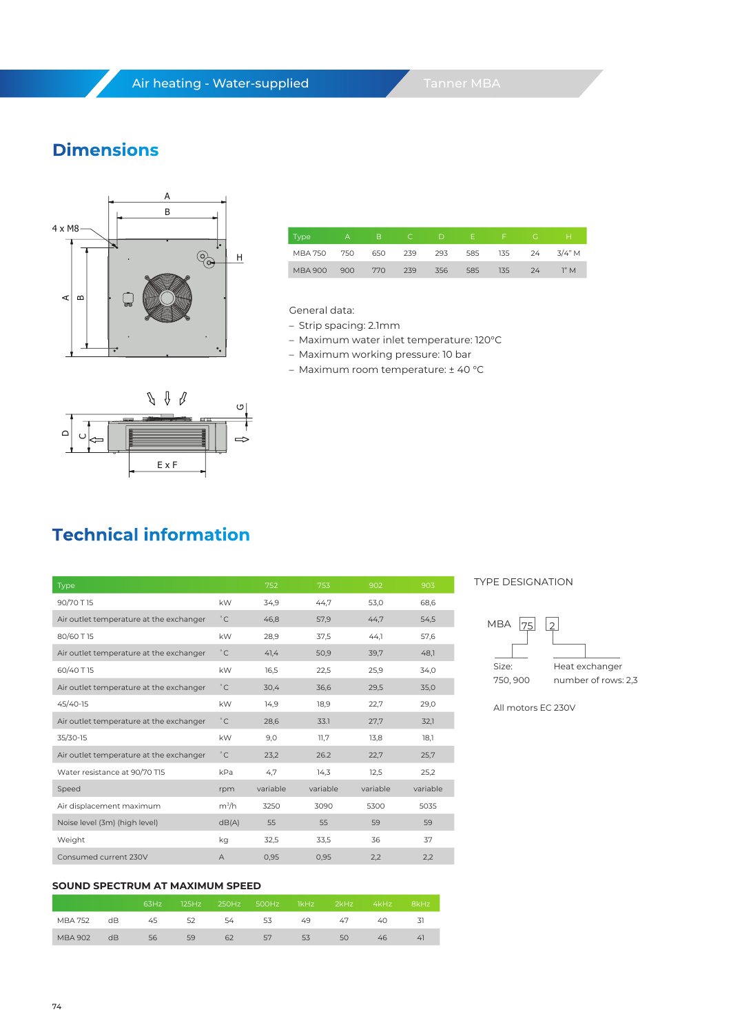# **Dimensions**



| Type           | A   | ΓB, |     |     | ICD FFG |                  |    | -н     |
|----------------|-----|-----|-----|-----|---------|------------------|----|--------|
| MBA 750 750    |     | 650 | 239 | 293 | 585     | 135              | 24 | 3/4" M |
| <b>MBA 900</b> | 900 | 770 | 239 | 356 | 585     | 135 <sub>1</sub> | 24 | 1"M    |

General data:

- Strip spacing: 2.1mm
- Maximum water inlet temperature: 120°C
- Maximum working pressure: 10 bar
- Maximum room temperature: ± 40 °C



# **Technical information**

| Type                                    |                | 752      | 753      | 902      | 903      |
|-----------------------------------------|----------------|----------|----------|----------|----------|
| 90/70 T 15                              | kW             | 34,9     | 44.7     | 53,0     | 68.6     |
| Air outlet temperature at the exchanger | $^{\circ}$ C   | 46,8     | 57,9     | 44,7     | 54,5     |
| 80/60 T 15                              | kW             | 28,9     | 37,5     | 44,1     | 57,6     |
| Air outlet temperature at the exchanger | $^{\circ}$ C   | 41,4     | 50,9     | 39,7     | 48.1     |
| 60/40 T 15                              | kW             | 16.5     | 22,5     | 25,9     | 34,0     |
| Air outlet temperature at the exchanger | $^{\circ}$ C   | 30,4     | 36,6     | 29,5     | 35,0     |
| 45/40-15                                | kW             | 14,9     | 18,9     | 22,7     | 29,0     |
| Air outlet temperature at the exchanger | $^{\circ}$ C   | 28.6     | 33.1     | 27,7     | 32,1     |
| 35/30-15                                | kW             | 9,0      | 11.7     | 13.8     | 18.1     |
| Air outlet temperature at the exchanger | $^{\circ}$ C   | 23,2     | 26.2     | 22,7     | 25,7     |
| Water resistance at 90/70 T15           | kPa            | 4,7      | 14,3     | 12,5     | 25,2     |
| Speed                                   | rpm            | variable | variable | variable | variable |
| Air displacement maximum                | $m^3/h$        | 3250     | 3090     | 5300     | 5035     |
| Noise level (3m) (high level)           | dB(A)          | 55       | 55       | 59       | 59       |
| Weight                                  | kg             | 32,5     | 33,5     | 36       | 37       |
| Consumed current 230V                   | $\overline{A}$ | 0,95     | 0,95     | 2,2      | 2,2      |

#### TYPE DESIGNATION



All motors EC 230V

#### **SOUND SPECTRUM AT MAXIMUM SPEED**

|                |    | 63Hz | 125Hz |     | 250Hz 500Hz |    | 1kHz 2kHz 4kHz |    | 8kHz |
|----------------|----|------|-------|-----|-------------|----|----------------|----|------|
| <b>MBA 752</b> | dB | 45   | 52    | -54 | - 53        | 49 | 47             | 40 | 51   |
| <b>MBA 902</b> | dB | 56   | 59    | 62  | 57          | 53 | 50             | 46 | 4'   |